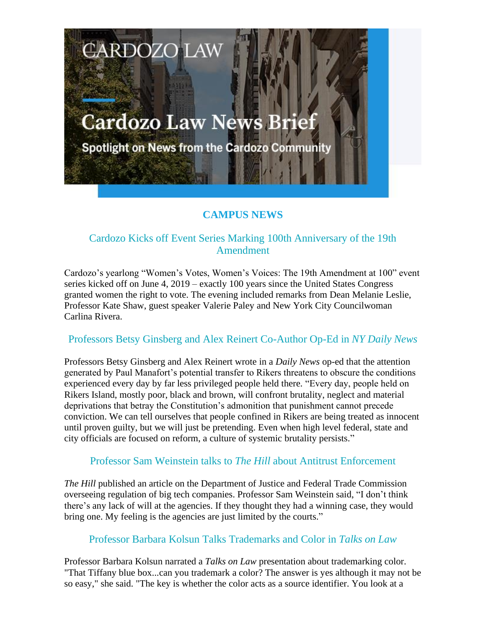# **Cardozo Law News Brief**

**CARDOZO LAW** 

Spotlight on News from the Cardozo Community

## **CAMPUS NEWS**

## Cardozo Kicks off Event Series Marking 100th Anniversary of the 19th Amendment

Cardozo's yearlong "Women's Votes, Women's Voices: The 19th Amendment at 100" event series kicked off on June 4, 2019 – exactly 100 years since the United States Congress granted women the right to vote. The evening included remarks from Dean Melanie Leslie, Professor Kate Shaw, guest speaker Valerie Paley and New York City Councilwoman Carlina Rivera.

#### Professors Betsy Ginsberg and Alex Reinert Co-Author Op-Ed in *NY Daily News*

Professors Betsy Ginsberg and Alex Reinert wrote in a *Daily News* op-ed that the attention generated by Paul Manafort's potential transfer to Rikers threatens to obscure the conditions experienced every day by far less privileged people held there. "Every day, people held on Rikers Island, mostly poor, black and brown, will confront brutality, neglect and material deprivations that betray the Constitution's admonition that punishment cannot precede conviction. We can tell ourselves that people confined in Rikers are being treated as innocent until proven guilty, but we will just be pretending. Even when high level federal, state and city officials are focused on reform, a culture of systemic brutality persists."

#### Professor Sam Weinstein talks to *The Hill* about Antitrust Enforcement

*The Hill* published an article on the Department of Justice and Federal Trade Commission overseeing regulation of big tech companies. Professor Sam Weinstein said, "I don't think there's any lack of will at the agencies. If they thought they had a winning case, they would bring one. My feeling is the agencies are just limited by the courts."

#### Professor Barbara Kolsun Talks Trademarks and Color in *Talks on Law*

Professor Barbara Kolsun narrated a *Talks on Law* presentation about trademarking color. "That Tiffany blue box...can you trademark a color? The answer is yes although it may not be so easy," she said. "The key is whether the color acts as a source identifier. You look at a